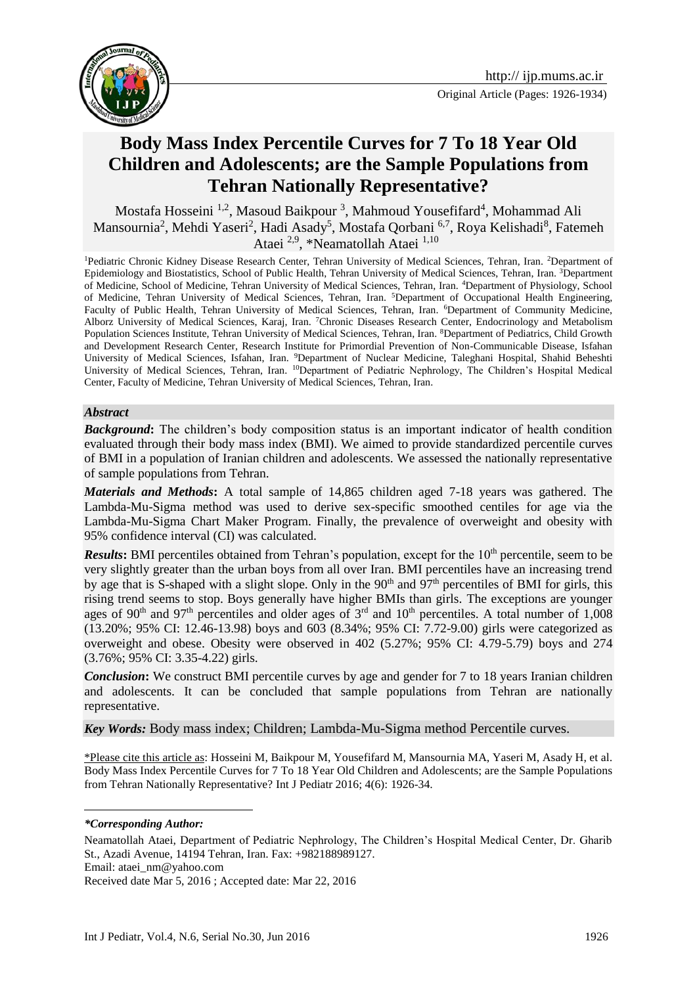



# **Body Mass Index Percentile Curves for 7 To 18 Year Old Children and Adolescents; are the Sample Populations from Tehran Nationally Representative?**

Mostafa Hosseini<sup>1,2</sup>, Masoud Baikpour<sup>3</sup>, Mahmoud Yousefifard<sup>4</sup>, Mohammad Ali Mansournia<sup>2</sup>, Mehdi Yaseri<sup>2</sup>, Hadi Asady<sup>5</sup>, Mostafa Qorbani <sup>6,7</sup>, Roya Kelishadi<sup>8</sup>, Fatemeh Ataei<sup>2,9</sup>, \*Neamatollah Ataei<sup>1,10</sup>

<sup>1</sup>Pediatric Chronic Kidney Disease Research Center, Tehran University of Medical Sciences, Tehran, Iran. <sup>2</sup>Department of Epidemiology and Biostatistics, School of Public Health, Tehran University of Medical Sciences, Tehran, Iran. 3Department of Medicine, School of Medicine, Tehran University of Medical Sciences, Tehran, Iran. <sup>4</sup>Department of Physiology, School of Medicine, Tehran University of Medical Sciences, Tehran, Iran. <sup>5</sup>Department of Occupational Health Engineering, Faculty of Public Health, Tehran University of Medical Sciences, Tehran, Iran. <sup>6</sup>Department of Community Medicine, Alborz University of Medical Sciences, Karaj, Iran. <sup>7</sup>Chronic Diseases Research Center, Endocrinology and Metabolism Population Sciences Institute, Tehran University of Medical Sciences, Tehran, Iran. <sup>8</sup>Department of Pediatrics, Child Growth and Development Research Center, Research Institute for Primordial Prevention of Non-Communicable Disease, Isfahan University of Medical Sciences, Isfahan, Iran. <sup>9</sup>Department of Nuclear Medicine, Taleghani Hospital, Shahid Beheshti University of Medical Sciences, Tehran, Iran. <sup>10</sup>Department of Pediatric Nephrology, The Children's Hospital Medical Center, Faculty of Medicine, Tehran University of Medical Sciences, Tehran, Iran.

### *Abstract*

*Background*: The children's body composition status is an important indicator of health condition evaluated through their body mass index (BMI). We aimed to provide standardized percentile curves of BMI in a population of Iranian children and adolescents. We assessed the nationally representative of sample populations from Tehran.

*Materials and Methods***:** A total sample of 14,865 children aged 7-18 years was gathered. The Lambda-Mu-Sigma method was used to derive sex-specific smoothed centiles for age via the Lambda-Mu-Sigma Chart Maker Program. Finally, the prevalence of overweight and obesity with 95% confidence interval (CI) was calculated.

*Results*: BMI percentiles obtained from Tehran's population, except for the 10<sup>th</sup> percentile, seem to be very slightly greater than the urban boys from all over Iran. BMI percentiles have an increasing trend by age that is S-shaped with a slight slope. Only in the 90<sup>th</sup> and 97<sup>th</sup> percentiles of BMI for girls, this rising trend seems to stop. Boys generally have higher BMIs than girls. The exceptions are younger ages of 90<sup>th</sup> and 97<sup>th</sup> percentiles and older ages of  $3<sup>rd</sup>$  and 10<sup>th</sup> percentiles. A total number of 1,008 (13.20%; 95% CI: 12.46-13.98) boys and 603 (8.34%; 95% CI: 7.72-9.00) girls were categorized as overweight and obese. Obesity were observed in 402 (5.27%; 95% CI: 4.79-5.79) boys and 274 (3.76%; 95% CI: 3.35-4.22) girls.

*Conclusion***:** We construct BMI percentile curves by age and gender for 7 to 18 years Iranian children and adolescents. It can be concluded that sample populations from Tehran are nationally representative.

*Key Words:* Body mass index; Children; Lambda-Mu-Sigma method Percentile curves.

\*Please cite this article as: Hosseini M, Baikpour M, Yousefifard M, Mansournia MA, Yaseri M, Asady H, et al. Body Mass Index Percentile Curves for 7 To 18 Year Old Children and Adolescents; are the Sample Populations from Tehran Nationally Representative? Int J Pediatr 2016; 4(6): 1926-34.

*\*Corresponding Author:*

<u>.</u>

Neamatollah Ataei, Department of Pediatric Nephrology, The Children's Hospital Medical Center, Dr. Gharib St., Azadi Avenue, 14194 Tehran, Iran. Fax: +982188989127.

Email: [ataei\\_nm@yahoo.com](mailto:ataei_nm@yahoo.com)

Received date Mar 5, 2016 ; Accepted date: Mar 22, 2016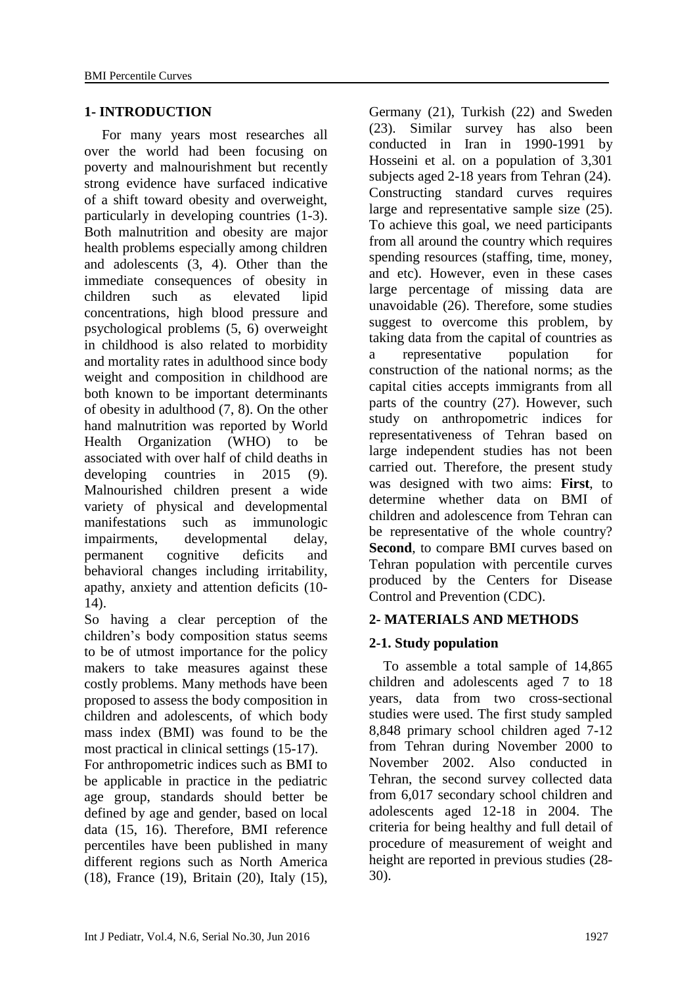### **1- INTRODUCTION**

 For many years most researches all over the world had been focusing on poverty and malnourishment but recently strong evidence have surfaced indicative of a shift toward obesity and overweight, particularly in developing countries [\(1-3\)](#page-7-0). Both malnutrition and obesity are major health problems especially among children and adolescents [\(3,](#page-7-1) [4\)](#page-7-2). Other than the immediate consequences of obesity in children such as elevated lipid concentrations, high blood pressure and psychological problems [\(5,](#page-7-3) [6\)](#page-7-4) overweight in childhood is also related to morbidity and mortality rates in adulthood since body weight and composition in childhood are both known to be important determinants of obesity in adulthood [\(7,](#page-7-5) [8\)](#page-7-6). On the other hand malnutrition was reported by World Health Organization (WHO) to be associated with over half of child deaths in developing countries in 2015 [\(9\)](#page-7-7). Malnourished children present a wide variety of physical and developmental manifestations such as immunologic impairments, developmental delay, permanent cognitive deficits and behavioral changes including irritability, apathy, anxiety and attention deficits [\(10-](#page-7-8) [14\)](#page-7-8).

So having a clear perception of the children's body composition status seems to be of utmost importance for the policy makers to take measures against these costly problems. Many methods have been proposed to assess the body composition in children and adolescents, of which body mass index (BMI) was found to be the most practical in clinical settings [\(15-17\)](#page-7-9).

For anthropometric indices such as BMI to be applicable in practice in the pediatric age group, standards should better be defined by age and gender, based on local data [\(15,](#page-7-9) [16\)](#page-7-10). Therefore, BMI reference percentiles have been published in many different regions such as North America [\(18\)](#page-7-11), France [\(19\)](#page-7-12), Britain [\(20\)](#page-8-0), Italy [\(15\)](#page-7-9),

Germany [\(21\)](#page-8-1), Turkish [\(22\)](#page-8-2) and Sweden [\(23\)](#page-8-3). Similar survey has also been conducted in Iran in 1990-1991 by Hosseini et al. on a population of 3,301 subjects aged 2-18 years from Tehran [\(24\)](#page-8-4). Constructing standard curves requires large and representative sample size [\(25\)](#page-8-5). To achieve this goal, we need participants from all around the country which requires spending resources (staffing, time, money, and etc). However, even in these cases large percentage of missing data are unavoidable [\(26\)](#page-8-6). Therefore, some studies suggest to overcome this problem, by taking data from the capital of countries as a representative population for construction of the national norms; as the capital cities accepts immigrants from all parts of the country [\(27\)](#page-8-7). However, such study on anthropometric indices for representativeness of Tehran based on large independent studies has not been carried out. Therefore, the present study was designed with two aims: **First**, to determine whether data on BMI of children and adolescence from Tehran can be representative of the whole country? **Second**, to compare BMI curves based on Tehran population with percentile curves produced by the Centers for Disease Control and Prevention (CDC).

## **2- MATERIALS AND METHODS**

## **2-1. Study population**

 To assemble a total sample of 14,865 children and adolescents aged 7 to 18 years, data from two cross-sectional studies were used. The first study sampled 8,848 primary school children aged 7-12 from Tehran during November 2000 to November 2002. Also conducted in Tehran, the second survey collected data from 6,017 secondary school children and adolescents aged 12-18 in 2004. The criteria for being healthy and full detail of procedure of measurement of weight and height are reported in previous studies [\(28-](#page-8-8) [30\)](#page-8-8).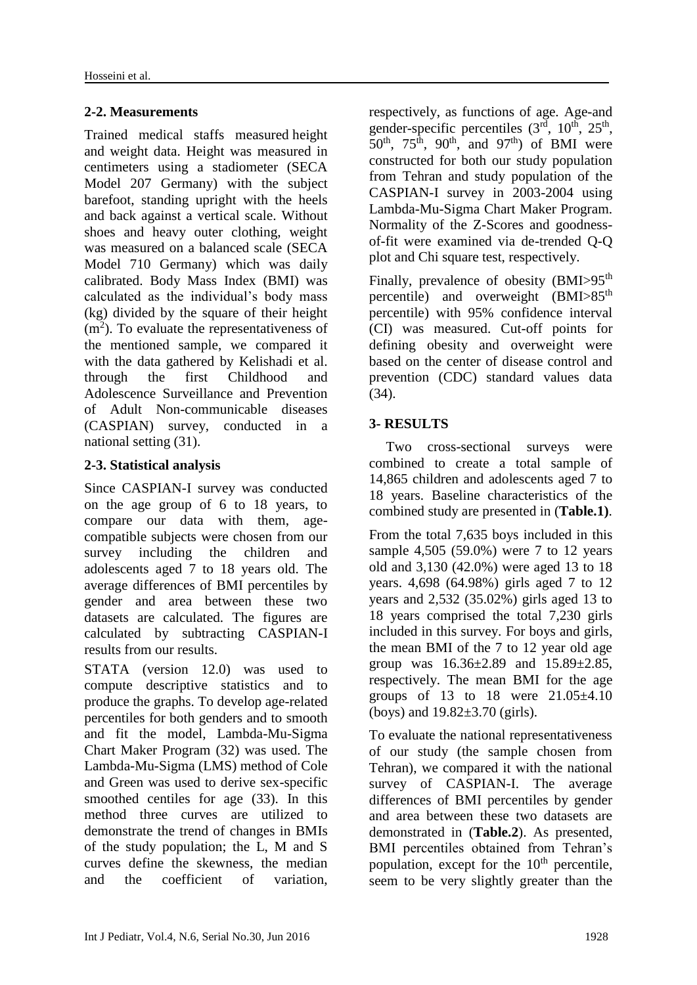# **2-2. Measurements**

Trained medical staffs measured height and weight data. Height was measured in centimeters using a stadiometer (SECA Model 207 Germany) with the subject barefoot, standing upright with the heels and back against a vertical scale. Without shoes and heavy outer clothing, weight was measured on a balanced scale (SECA Model 710 Germany) which was daily calibrated. Body Mass Index (BMI) was calculated as the individual's body mass (kg) divided by the square of their height  $(m<sup>2</sup>)$ . To evaluate the representativeness of the mentioned sample, we compared it with the data gathered by Kelishadi et al. through the first Childhood and Adolescence Surveillance and Prevention of Adult Non-communicable diseases (CASPIAN) survey, conducted in a national setting [\(31\)](#page-8-9).

# **2-3. Statistical analysis**

Since CASPIAN-I survey was conducted on the age group of 6 to 18 years, to compare our data with them, agecompatible subjects were chosen from our survey including the children and adolescents aged 7 to 18 years old. The average differences of BMI percentiles by gender and area between these two datasets are calculated. The figures are calculated by subtracting CASPIAN-I results from our results.

STATA (version 12.0) was used to compute descriptive statistics and to produce the graphs. To develop age-related percentiles for both genders and to smooth and fit the model, Lambda-Mu-Sigma Chart Maker Program [\(32\)](#page-8-10) was used. The Lambda-Mu-Sigma (LMS) method of Cole and Green was used to derive sex-specific smoothed centiles for age [\(33\)](#page-8-11). In this method three curves are utilized to demonstrate the trend of changes in BMIs of the study population; the L, M and S curves define the skewness, the median and the coefficient of variation,

respectively, as functions of age. Age-and gender-specific percentiles  $(3<sup>rd</sup>, 10<sup>th</sup>, 25<sup>th</sup>,$  $50<sup>th</sup>$ ,  $75<sup>th</sup>$ ,  $90<sup>th</sup>$ , and  $97<sup>th</sup>$ ) of BMI were constructed for both our study population from Tehran and study population of the CASPIAN-I survey in 2003-2004 using Lambda-Mu-Sigma Chart Maker Program. Normality of the Z-Scores and goodnessof-fit were examined via de-trended Q-Q plot and Chi square test, respectively.

Finally, prevalence of obesity (BMI>95<sup>th</sup>) percentile) and overweight (BMI>85<sup>th</sup>) percentile) with 95% confidence interval (CI) was measured. Cut-off points for defining obesity and overweight were based on the center of disease control and prevention (CDC) standard values data [\(34\)](#page-8-12).

# **3- RESULTS**

Two cross-sectional surveys were combined to create a total sample of 14,865 children and adolescents aged 7 to 18 years. Baseline characteristics of the combined study are presented in (**Table.1)**.

From the total 7,635 boys included in this sample 4,505 (59.0%) were 7 to 12 years old and 3,130 (42.0%) were aged 13 to 18 years. 4,698 (64.98%) girls aged 7 to 12 years and 2,532 (35.02%) girls aged 13 to 18 years comprised the total 7,230 girls included in this survey. For boys and girls, the mean BMI of the 7 to 12 year old age group was 16.36±2.89 and 15.89±2.85, respectively. The mean BMI for the age groups of 13 to 18 were 21.05±4.10 (boys) and 19.82±3.70 (girls).

To evaluate the national representativeness of our study (the sample chosen from Tehran), we compared it with the national survey of CASPIAN-I. The average differences of BMI percentiles by gender and area between these two datasets are demonstrated in (**Table.2**). As presented, BMI percentiles obtained from Tehran's population, except for the  $10<sup>th</sup>$  percentile, seem to be very slightly greater than the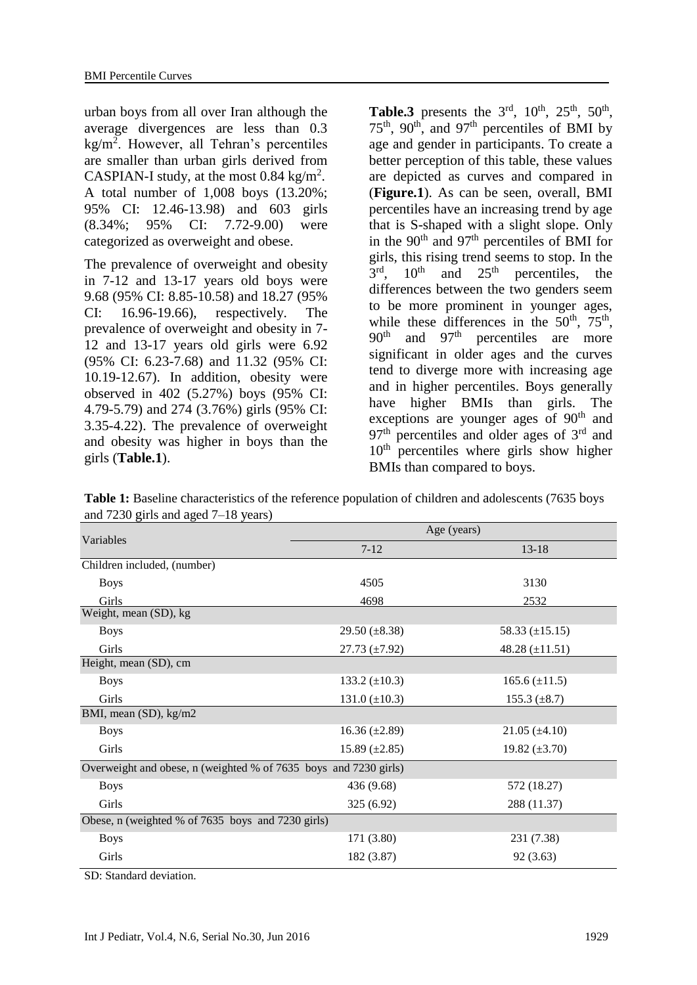urban boys from all over Iran although the average divergences are less than 0.3 kg/m<sup>2</sup> . However, all Tehran's percentiles are smaller than urban girls derived from CASPIAN-I study, at the most  $0.84 \text{ kg/m}^2$ . A total number of 1,008 boys (13.20%; 95% CI: 12.46-13.98) and 603 girls (8.34%; 95% CI: 7.72-9.00) were categorized as overweight and obese.

The prevalence of overweight and obesity in 7-12 and 13-17 years old boys were 9.68 (95% CI: 8.85-10.58) and 18.27 (95% CI: 16.96-19.66), respectively. The prevalence of overweight and obesity in 7- 12 and 13-17 years old girls were 6.92 (95% CI: 6.23-7.68) and 11.32 (95% CI: 10.19-12.67). In addition, obesity were observed in 402 (5.27%) boys (95% CI: 4.79-5.79) and 274 (3.76%) girls (95% CI: 3.35-4.22). The prevalence of overweight and obesity was higher in boys than the girls (**Table.1**).

Table.3 presents the  $3<sup>rd</sup>$ ,  $10<sup>th</sup>$ ,  $25<sup>th</sup>$ ,  $50<sup>th</sup>$ ,  $75<sup>th</sup>$ , 90<sup>th</sup>, and 97<sup>th</sup> percentiles of BMI by age and gender in participants. To create a better perception of this table, these values are depicted as curves and compared in (**Figure.1**). As can be seen, overall, BMI percentiles have an increasing trend by age that is S-shaped with a slight slope. Only in the  $90<sup>th</sup>$  and  $97<sup>th</sup>$  percentiles of BMI for girls, this rising trend seems to stop. In the  $3<sup>rd</sup>$ ,  $10<sup>th</sup>$  and  $25<sup>th</sup>$  percentiles, the differences between the two genders seem to be more prominent in younger ages, while these differences in the  $50<sup>th</sup>$ ,  $75<sup>th</sup>$ ,  $90<sup>th</sup>$  and  $97<sup>th</sup>$  percentiles are more significant in older ages and the curves tend to diverge more with increasing age and in higher percentiles. Boys generally have higher BMIs than girls. The exceptions are younger ages of 90<sup>th</sup> and  $97<sup>th</sup>$  percentiles and older ages of  $3<sup>rd</sup>$  and  $10<sup>th</sup>$  percentiles where girls show higher BMIs than compared to boys.

|                                                                  | Age (years)          |                      |  |  |  |  |
|------------------------------------------------------------------|----------------------|----------------------|--|--|--|--|
| Variables                                                        | $7 - 12$             | $13 - 18$            |  |  |  |  |
| Children included, (number)                                      |                      |                      |  |  |  |  |
| <b>Boys</b>                                                      | 4505                 | 3130                 |  |  |  |  |
| Girls                                                            | 4698                 | 2532                 |  |  |  |  |
| Weight, mean (SD), kg                                            |                      |                      |  |  |  |  |
| <b>Boys</b>                                                      | 29.50 $(\pm 8.38)$   | 58.33 $(\pm 15.15)$  |  |  |  |  |
| Girls                                                            | 27.73 $(\pm 7.92)$   | 48.28 $(\pm 11.51)$  |  |  |  |  |
| Height, mean (SD), cm                                            |                      |                      |  |  |  |  |
| <b>Boys</b>                                                      | 133.2 $(\pm 10.3)$   | $165.6 \ (\pm 11.5)$ |  |  |  |  |
| Girls                                                            | 131.0 $(\pm 10.3)$   | 155.3 $(\pm 8.7)$    |  |  |  |  |
| BMI, mean (SD), kg/m2                                            |                      |                      |  |  |  |  |
| <b>Boys</b>                                                      | $16.36 \ (\pm 2.89)$ | $21.05 \ (\pm 4.10)$ |  |  |  |  |
| Girls                                                            | $15.89 \ (\pm 2.85)$ | 19.82 $(\pm 3.70)$   |  |  |  |  |
| Overweight and obese, n (weighted % of 7635 boys and 7230 girls) |                      |                      |  |  |  |  |
| <b>Boys</b>                                                      | 436 (9.68)           | 572 (18.27)          |  |  |  |  |
| Girls                                                            | 325 (6.92)           | 288 (11.37)          |  |  |  |  |
| Obese, n (weighted % of 7635 boys and 7230 girls)                |                      |                      |  |  |  |  |
| <b>Boys</b>                                                      | 171 (3.80)           | 231 (7.38)           |  |  |  |  |
| Girls                                                            | 182 (3.87)           | 92(3.63)             |  |  |  |  |

**Table 1:** Baseline characteristics of the reference population of children and adolescents (7635 boys and 7230 girls and aged 7–18 years)

SD: Standard deviation.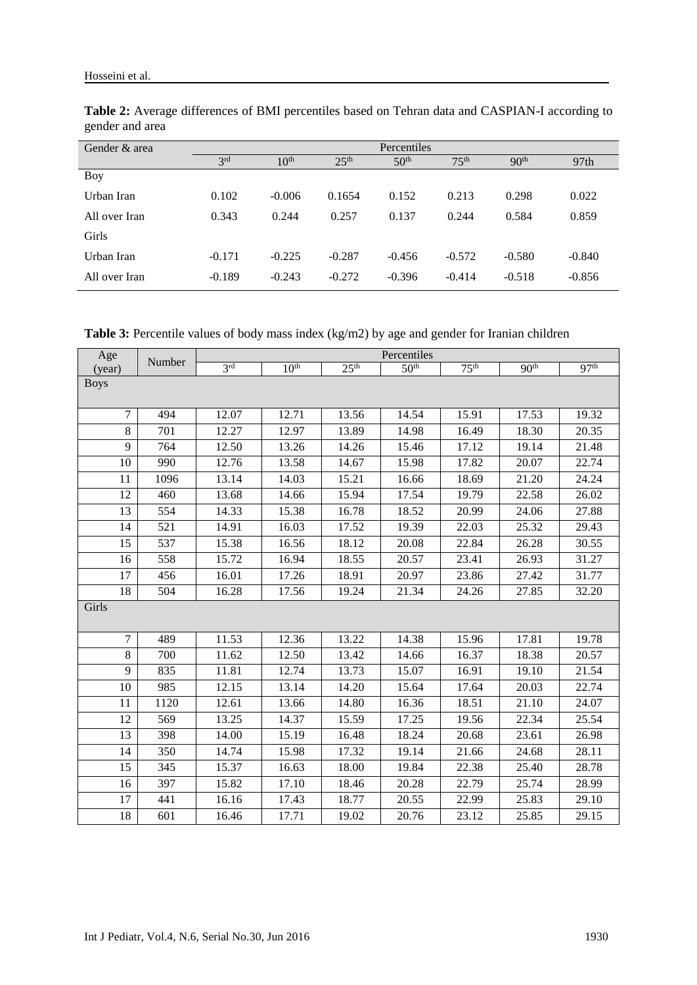| Gender & area |                 |                  |                  | Percentiles      |                  |                  |                  |
|---------------|-----------------|------------------|------------------|------------------|------------------|------------------|------------------|
|               | 3 <sup>rd</sup> | 10 <sup>th</sup> | 25 <sup>th</sup> | 50 <sup>th</sup> | 75 <sup>th</sup> | 90 <sup>th</sup> | 97 <sub>th</sub> |
| Boy           |                 |                  |                  |                  |                  |                  |                  |
| Urban Iran    | 0.102           | $-0.006$         | 0.1654           | 0.152            | 0.213            | 0.298            | 0.022            |
| All over Iran | 0.343           | 0.244            | 0.257            | 0.137            | 0.244            | 0.584            | 0.859            |
| Girls         |                 |                  |                  |                  |                  |                  |                  |
| Urban Iran    | $-0.171$        | $-0.225$         | $-0.287$         | $-0.456$         | $-0.572$         | $-0.580$         | $-0.840$         |
| All over Iran | $-0.189$        | $-0.243$         | $-0.272$         | $-0.396$         | $-0.414$         | $-0.518$         | $-0.856$         |

**Table 2:** Average differences of BMI percentiles based on Tehran data and CASPIAN-I according to gender and area

Table 3: Percentile values of body mass index (kg/m2) by age and gender for Iranian children

| Age            | Number | Percentiles     |                  |                  |                  |                  |                  |                  |
|----------------|--------|-----------------|------------------|------------------|------------------|------------------|------------------|------------------|
| (year)         |        | 3 <sup>rd</sup> | 10 <sup>th</sup> | 25 <sup>th</sup> | 50 <sup>th</sup> | 75 <sup>th</sup> | 90 <sup>th</sup> | 97 <sup>th</sup> |
| <b>Boys</b>    |        |                 |                  |                  |                  |                  |                  |                  |
|                |        |                 |                  |                  |                  |                  |                  |                  |
| $\overline{7}$ | 494    | 12.07           | 12.71            | 13.56            | 14.54            | 15.91            | 17.53            | 19.32            |
| 8              | 701    | 12.27           | 12.97            | 13.89            | 14.98            | 16.49            | 18.30            | 20.35            |
| 9              | 764    | 12.50           | 13.26            | 14.26            | 15.46            | 17.12            | 19.14            | 21.48            |
| 10             | 990    | 12.76           | 13.58            | 14.67            | 15.98            | 17.82            | 20.07            | 22.74            |
| 11             | 1096   | 13.14           | 14.03            | 15.21            | 16.66            | 18.69            | 21.20            | 24.24            |
| 12             | 460    | 13.68           | 14.66            | 15.94            | 17.54            | 19.79            | 22.58            | 26.02            |
| 13             | 554    | 14.33           | 15.38            | 16.78            | 18.52            | 20.99            | 24.06            | 27.88            |
| 14             | 521    | 14.91           | 16.03            | 17.52            | 19.39            | 22.03            | 25.32            | 29.43            |
| 15             | 537    | 15.38           | 16.56            | 18.12            | 20.08            | 22.84            | 26.28            | 30.55            |
| 16             | 558    | 15.72           | 16.94            | 18.55            | 20.57            | 23.41            | 26.93            | 31.27            |
| 17             | 456    | 16.01           | 17.26            | 18.91            | 20.97            | 23.86            | 27.42            | 31.77            |
| 18             | 504    | 16.28           | 17.56            | 19.24            | 21.34            | 24.26            | 27.85            | 32.20            |
| Girls          |        |                 |                  |                  |                  |                  |                  |                  |
|                |        |                 |                  |                  |                  |                  |                  |                  |
| $\overline{7}$ | 489    | 11.53           | 12.36            | 13.22            | 14.38            | 15.96            | 17.81            | 19.78            |
| 8              | 700    | 11.62           | 12.50            | 13.42            | 14.66            | 16.37            | 18.38            | 20.57            |
| 9              | 835    | 11.81           | 12.74            | 13.73            | 15.07            | 16.91            | 19.10            | 21.54            |
| 10             | 985    | 12.15           | 13.14            | 14.20            | 15.64            | 17.64            | 20.03            | 22.74            |
| 11             | 1120   | 12.61           | 13.66            | 14.80            | 16.36            | 18.51            | 21.10            | 24.07            |
| 12             | 569    | 13.25           | 14.37            | 15.59            | 17.25            | 19.56            | 22.34            | 25.54            |
| 13             | 398    | 14.00           | 15.19            | 16.48            | 18.24            | 20.68            | 23.61            | 26.98            |
| 14             | 350    | 14.74           | 15.98            | 17.32            | 19.14            | 21.66            | 24.68            | 28.11            |
| 15             | 345    | 15.37           | 16.63            | 18.00            | 19.84            | 22.38            | 25.40            | 28.78            |
| 16             | 397    | 15.82           | 17.10            | 18.46            | 20.28            | 22.79            | 25.74            | 28.99            |
| 17             | 441    | 16.16           | 17.43            | 18.77            | 20.55            | 22.99            | 25.83            | 29.10            |
| 18             | 601    | 16.46           | 17.71            | 19.02            | 20.76            | 23.12            | 25.85            | 29.15            |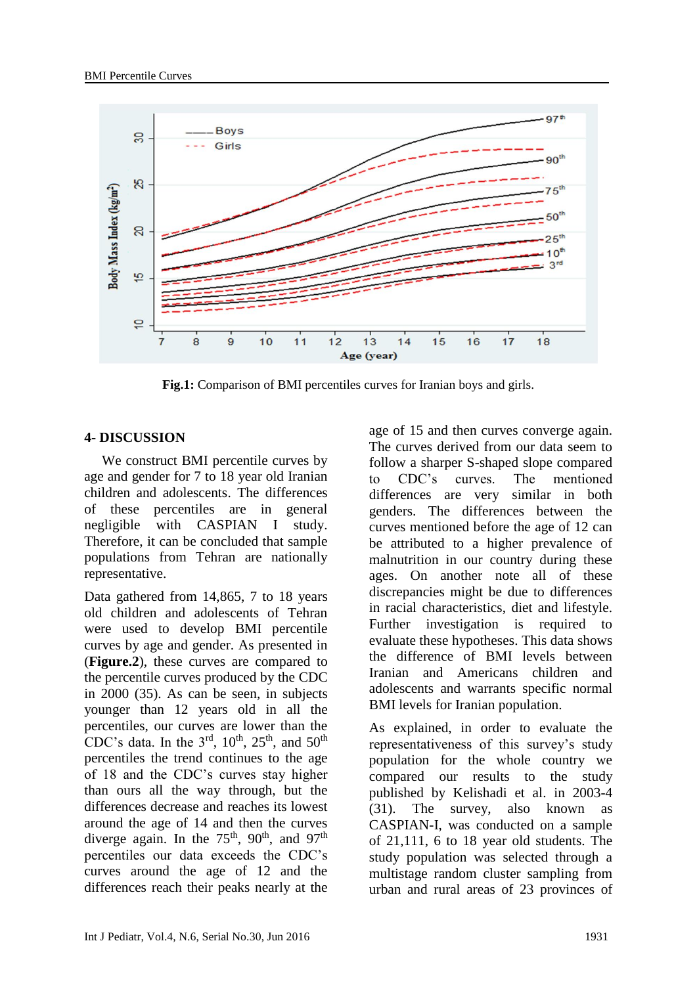

**Fig.1:** Comparison of BMI percentiles curves for Iranian boys and girls.

## **4- DISCUSSION**

 We construct BMI percentile curves by age and gender for 7 to 18 year old Iranian children and adolescents. The differences of these percentiles are in general negligible with CASPIAN I study. Therefore, it can be concluded that sample populations from Tehran are nationally representative.

Data gathered from 14,865, 7 to 18 years old children and adolescents of Tehran were used to develop BMI percentile curves by age and gender. As presented in (**Figure.2**), these curves are compared to the percentile curves produced by the CDC in 2000 [\(35\)](#page-8-13). As can be seen, in subjects younger than 12 years old in all the percentiles, our curves are lower than the CDC's data. In the  $3<sup>rd</sup>$ ,  $10<sup>th</sup>$ ,  $25<sup>th</sup>$ , and  $50<sup>th</sup>$ percentiles the trend continues to the age of 18 and the CDC's curves stay higher than ours all the way through, but the differences decrease and reaches its lowest around the age of 14 and then the curves diverge again. In the  $75<sup>th</sup>$ , 90<sup>th</sup>, and 97<sup>th</sup> percentiles our data exceeds the CDC's curves around the age of 12 and the differences reach their peaks nearly at the age of 15 and then curves converge again. The curves derived from our data seem to follow a sharper S-shaped slope compared to CDC's curves. The mentioned differences are very similar in both genders. The differences between the curves mentioned before the age of 12 can be attributed to a higher prevalence of malnutrition in our country during these ages. On another note all of these discrepancies might be due to differences in racial characteristics, diet and lifestyle. Further investigation is required to evaluate these hypotheses. This data shows the difference of BMI levels between Iranian and Americans children and adolescents and warrants specific normal BMI levels for Iranian population.

As explained, in order to evaluate the representativeness of this survey's study population for the whole country we compared our results to the study published by Kelishadi et al. in 2003-4 [\(31\)](#page-8-9). The survey, also known as CASPIAN-I, was conducted on a sample of 21,111, 6 to 18 year old students. The study population was selected through a multistage random cluster sampling from urban and rural areas of 23 provinces of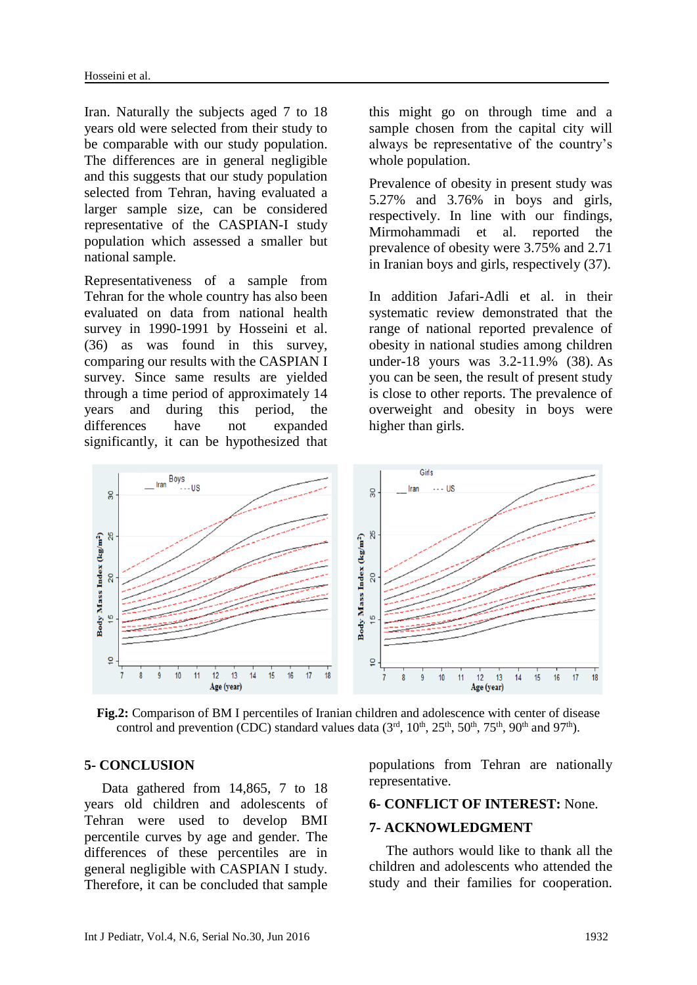Iran. Naturally the subjects aged 7 to 18 years old were selected from their study to be comparable with our study population. The differences are in general negligible and this suggests that our study population selected from Tehran, having evaluated a larger sample size, can be considered representative of the CASPIAN-I study population which assessed a smaller but national sample.

Representativeness of a sample from Tehran for the whole country has also been evaluated on data from national health survey in 1990-1991 by Hosseini et al. [\(36\)](#page-8-14) as was found in this survey, comparing our results with the CASPIAN I survey. Since same results are yielded through a time period of approximately 14 years and during this period, the differences have not expanded significantly, it can be hypothesized that this might go on through time and a sample chosen from the capital city will always be representative of the country's whole population.

Prevalence of obesity in present study was 5.27% and 3.76% in boys and girls, respectively. In line with our findings, Mirmohammadi et al. reported the prevalence of obesity were 3.75% and 2.71 in Iranian boys and girls, respectively [\(37\)](#page-8-15).

In addition Jafari-Adli et al. in their systematic review demonstrated that the range of national reported prevalence of obesity in national studies among children under-18 yours was 3.2-11.9% [\(38\)](#page-8-16). As you can be seen, the result of present study is close to other reports. The prevalence of overweight and obesity in boys were higher than girls.



**Fig.2:** Comparison of BM I percentiles of Iranian children and adolescence with center of disease control and prevention (CDC) standard values data  $(3<sup>rd</sup>, 10<sup>th</sup>, 25<sup>th</sup>, 50<sup>th</sup>, 75<sup>th</sup>, 90<sup>th</sup>$  and 97<sup>th</sup>).

#### **5- CONCLUSION**

 Data gathered from 14,865, 7 to 18 years old children and adolescents of Tehran were used to develop BMI percentile curves by age and gender. The differences of these percentiles are in general negligible with CASPIAN I study. Therefore, it can be concluded that sample populations from Tehran are nationally representative.

#### **6- CONFLICT OF INTEREST:** None.

#### **7- ACKNOWLEDGMENT**

The authors would like to thank all the children and adolescents who attended the study and their families for cooperation.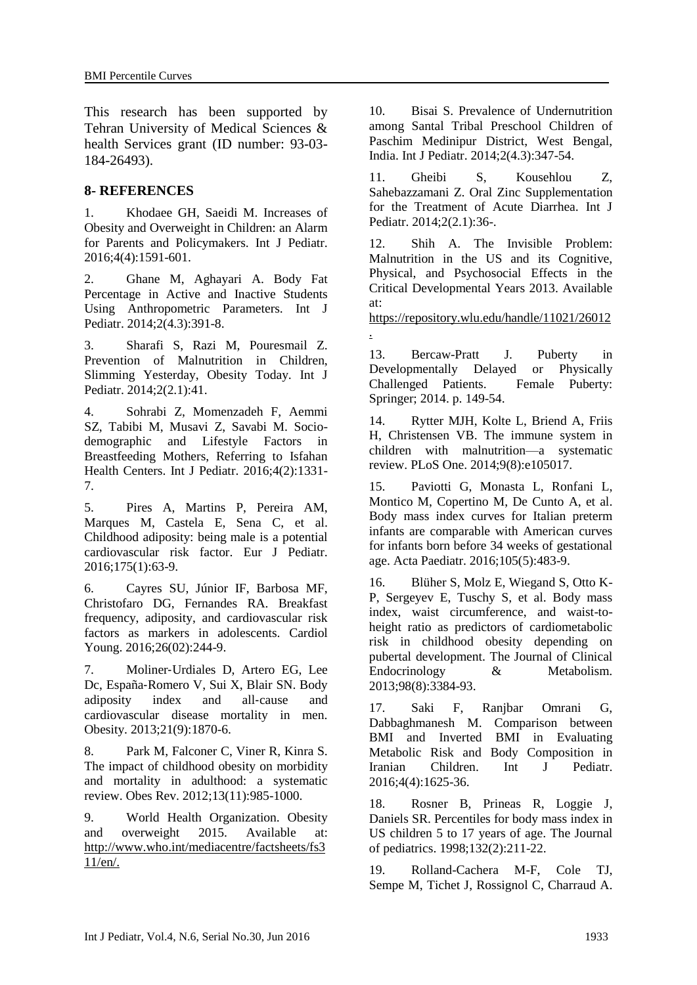This research has been supported by Tehran University of Medical Sciences & health Services grant (ID number: 93-03- 184-26493).

### **8- REFERENCES**

<span id="page-7-0"></span>1. Khodaee GH, Saeidi M. Increases of Obesity and Overweight in Children: an Alarm for Parents and Policymakers. Int J Pediatr. 2016;4(4):1591-601.

2. Ghane M, Aghayari A. Body Fat Percentage in Active and Inactive Students Using Anthropometric Parameters. Int J Pediatr. 2014;2(4.3):391-8.

<span id="page-7-1"></span>3. Sharafi S, Razi M, Pouresmail Z. Prevention of Malnutrition in Children, Slimming Yesterday, Obesity Today. Int J Pediatr. 2014;2(2.1):41.

<span id="page-7-2"></span>4. Sohrabi Z, Momenzadeh F, Aemmi SZ, Tabibi M, Musavi Z, Savabi M. Sociodemographic and Lifestyle Factors in Breastfeeding Mothers, Referring to Isfahan Health Centers. Int J Pediatr. 2016;4(2):1331- 7.

<span id="page-7-3"></span>5. Pires A, Martins P, Pereira AM, Marques M, Castela E, Sena C, et al. Childhood adiposity: being male is a potential cardiovascular risk factor. Eur J Pediatr. 2016;175(1):63-9.

<span id="page-7-4"></span>6. Cayres SU, Júnior IF, Barbosa MF, Christofaro DG, Fernandes RA. Breakfast frequency, adiposity, and cardiovascular risk factors as markers in adolescents. Cardiol Young. 2016;26(02):244-9.

<span id="page-7-5"></span>7. Moliner‐Urdiales D, Artero EG, Lee Dc, España‐Romero V, Sui X, Blair SN. Body adiposity index and all‐cause and cardiovascular disease mortality in men. Obesity. 2013;21(9):1870-6.

<span id="page-7-6"></span>8. Park M, Falconer C, Viner R, Kinra S. The impact of childhood obesity on morbidity and mortality in adulthood: a systematic review. Obes Rev. 2012;13(11):985-1000.

<span id="page-7-7"></span>9. World Health Organization. Obesity and overweight 2015. Available at: http://www.who.int/mediacentre/factsheets/fs3  $11/en/$ .

<span id="page-7-8"></span>10. Bisai S. Prevalence of Undernutrition among Santal Tribal Preschool Children of Paschim Medinipur District, West Bengal, India. Int J Pediatr. 2014;2(4.3):347-54.

11. Gheibi S, Kousehlou Z, Sahebazzamani Z. Oral Zinc Supplementation for the Treatment of Acute Diarrhea. Int J Pediatr. 2014;2(2.1):36-.

12. Shih A. The Invisible Problem: Malnutrition in the US and its Cognitive, Physical, and Psychosocial Effects in the Critical Developmental Years 2013. Available at:

https://repository.wlu.edu/handle/11021/26012 .

13. Bercaw-Pratt J. Puberty in Developmentally Delayed or Physically Challenged Patients. Female Puberty: Springer; 2014. p. 149-54.

14. Rytter MJH, Kolte L, Briend A, Friis H, Christensen VB. The immune system in children with malnutrition—a systematic review. PLoS One. 2014;9(8):e105017.

<span id="page-7-9"></span>15. Paviotti G, Monasta L, Ronfani L, Montico M, Copertino M, De Cunto A, et al. Body mass index curves for Italian preterm infants are comparable with American curves for infants born before 34 weeks of gestational age. Acta Paediatr. 2016;105(5):483-9.

<span id="page-7-10"></span>16. Blüher S, Molz E, Wiegand S, Otto K-P, Sergeyev E, Tuschy S, et al. Body mass index, waist circumference, and waist-toheight ratio as predictors of cardiometabolic risk in childhood obesity depending on pubertal development. The Journal of Clinical Endocrinology & Metabolism. 2013;98(8):3384-93.

17. Saki F, Ranjbar Omrani G, Dabbaghmanesh M. Comparison between BMI and Inverted BMI in Evaluating Metabolic Risk and Body Composition in Iranian Children. Int J Pediatr. 2016;4(4):1625-36.

<span id="page-7-11"></span>18. Rosner B, Prineas R, Loggie J, Daniels SR. Percentiles for body mass index in US children 5 to 17 years of age. The Journal of pediatrics. 1998;132(2):211-22.

<span id="page-7-12"></span>19. Rolland-Cachera M-F, Cole TJ, Sempe M, Tichet J, Rossignol C, Charraud A.